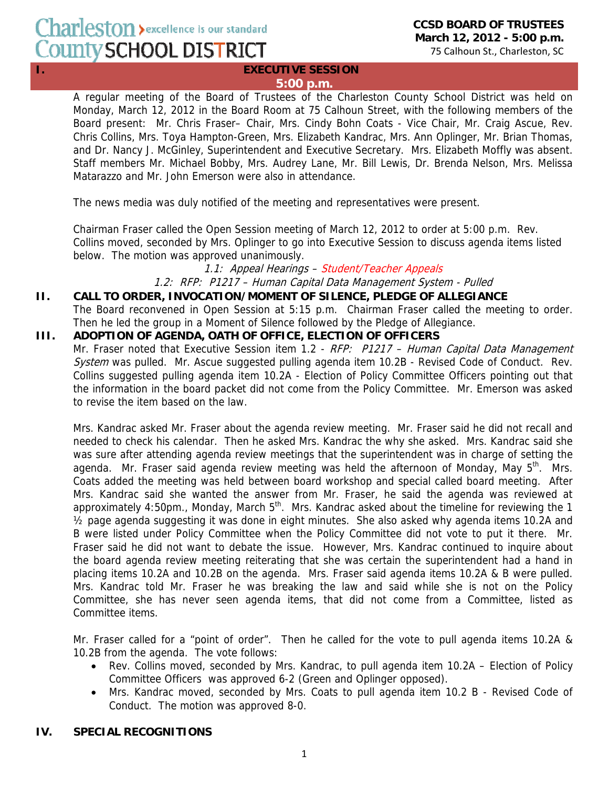# Charleston > excellence is our standard County SCHOOL DISTRICT

## **I.** EXECUTIVE SESSION **5:00 p.m.**

A regular meeting of the Board of Trustees of the Charleston County School District was held on Monday, March 12, 2012 in the Board Room at 75 Calhoun Street, with the following members of the Board present: Mr. Chris Fraser– Chair, Mrs. Cindy Bohn Coats - Vice Chair, Mr. Craig Ascue, Rev. Chris Collins, Mrs. Toya Hampton-Green, Mrs. Elizabeth Kandrac, Mrs. Ann Oplinger, Mr. Brian Thomas, and Dr. Nancy J. McGinley, Superintendent and Executive Secretary. Mrs. Elizabeth Moffly was absent. Staff members Mr. Michael Bobby, Mrs. Audrey Lane, Mr. Bill Lewis, Dr. Brenda Nelson, Mrs. Melissa Matarazzo and Mr. John Emerson were also in attendance.

The news media was duly notified of the meeting and representatives were present.

Chairman Fraser called the Open Session meeting of March 12, 2012 to order at 5:00 p.m. Rev. Collins moved, seconded by Mrs. Oplinger to go into Executive Session to discuss agenda items listed below. The motion was approved unanimously.

## 1.1: Appeal Hearings – Student/Teacher Appeals

1.2: RFP: P1217 – Human Capital Data Management System - Pulled

## **II. CALL TO ORDER, INVOCATION/MOMENT OF SILENCE, PLEDGE OF ALLEGIANCE**

The Board reconvened in Open Session at 5:15 p.m. Chairman Fraser called the meeting to order. Then he led the group in a Moment of Silence followed by the Pledge of Allegiance.

## **III. ADOPTION OF AGENDA, OATH OF OFFICE, ELECTION OF OFFICERS**

Mr. Fraser noted that Executive Session item 1.2 - RFP: P1217 - Human Capital Data Management System was pulled. Mr. Ascue suggested pulling agenda item 10.2B - Revised Code of Conduct. Rev. Collins suggested pulling agenda item 10.2A - Election of Policy Committee Officers pointing out that the information in the board packet did not come from the Policy Committee. Mr. Emerson was asked to revise the item based on the law.

Mrs. Kandrac asked Mr. Fraser about the agenda review meeting. Mr. Fraser said he did not recall and needed to check his calendar. Then he asked Mrs. Kandrac the why she asked. Mrs. Kandrac said she was sure after attending agenda review meetings that the superintendent was in charge of setting the agenda. Mr. Fraser said agenda review meeting was held the afternoon of Monday, May  $5<sup>th</sup>$ . Mrs. Coats added the meeting was held between board workshop and special called board meeting. After Mrs. Kandrac said she wanted the answer from Mr. Fraser, he said the agenda was reviewed at approximately 4:50pm., Monday, March  $5<sup>th</sup>$ . Mrs. Kandrac asked about the timeline for reviewing the 1 ½ page agenda suggesting it was done in eight minutes. She also asked why agenda items 10.2A and B were listed under Policy Committee when the Policy Committee did not vote to put it there. Mr. Fraser said he did not want to debate the issue. However, Mrs. Kandrac continued to inquire about the board agenda review meeting reiterating that she was certain the superintendent had a hand in placing items 10.2A and 10.2B on the agenda. Mrs. Fraser said agenda items 10.2A & B were pulled. Mrs. Kandrac told Mr. Fraser he was breaking the law and said while she is not on the Policy Committee, she has never seen agenda items, that did not come from a Committee, listed as Committee items.

Mr. Fraser called for a "point of order". Then he called for the vote to pull agenda items 10.2A & 10.2B from the agenda. The vote follows:

- Rev. Collins moved, seconded by Mrs. Kandrac, to pull agenda item 10.2A Election of Policy Committee Officers was approved 6-2 (Green and Oplinger opposed).
- Mrs. Kandrac moved, seconded by Mrs. Coats to pull agenda item 10.2 B Revised Code of Conduct. The motion was approved 8-0.

## **IV. SPECIAL RECOGNITIONS**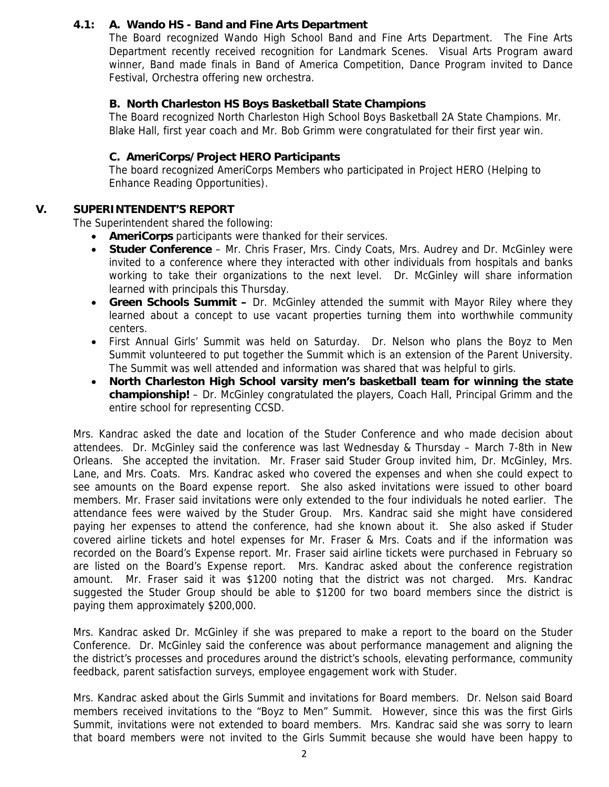## **4.1: A. Wando HS - Band and Fine Arts Department**

The Board recognized Wando High School Band and Fine Arts Department. The Fine Arts Department recently received recognition for Landmark Scenes. Visual Arts Program award winner, Band made finals in Band of America Competition, Dance Program invited to Dance Festival, Orchestra offering new orchestra.

#### **B. North Charleston HS Boys Basketball State Champions**

The Board recognized North Charleston High School Boys Basketball 2A State Champions. Mr. Blake Hall, first year coach and Mr. Bob Grimm were congratulated for their first year win.

#### **C. AmeriCorps/Project HERO Participants**

The board recognized AmeriCorps Members who participated in Project HERO (Helping to Enhance Reading Opportunities).

## **V. SUPERINTENDENT'S REPORT**

The Superintendent shared the following:

- **AmeriCorps** participants were thanked for their services.
- **Studer Conference** Mr. Chris Fraser, Mrs. Cindy Coats, Mrs. Audrey and Dr. McGinley were invited to a conference where they interacted with other individuals from hospitals and banks working to take their organizations to the next level. Dr. McGinley will share information learned with principals this Thursday.
- **Green Schools Summit** Dr. McGinley attended the summit with Mayor Riley where they learned about a concept to use vacant properties turning them into worthwhile community centers.
- First Annual Girls' Summit was held on Saturday. Dr. Nelson who plans the Boyz to Men Summit volunteered to put together the Summit which is an extension of the Parent University. The Summit was well attended and information was shared that was helpful to girls.
- **North Charleston High School varsity men's basketball team for winning the state championship!** – Dr. McGinley congratulated the players, Coach Hall, Principal Grimm and the entire school for representing CCSD.

Mrs. Kandrac asked the date and location of the Studer Conference and who made decision about attendees. Dr. McGinley said the conference was last Wednesday & Thursday – March 7-8th in New Orleans. She accepted the invitation. Mr. Fraser said Studer Group invited him, Dr. McGinley, Mrs. Lane, and Mrs. Coats. Mrs. Kandrac asked who covered the expenses and when she could expect to see amounts on the Board expense report. She also asked invitations were issued to other board members. Mr. Fraser said invitations were only extended to the four individuals he noted earlier. The attendance fees were waived by the Studer Group. Mrs. Kandrac said she might have considered paying her expenses to attend the conference, had she known about it. She also asked if Studer covered airline tickets and hotel expenses for Mr. Fraser & Mrs. Coats and if the information was recorded on the Board's Expense report. Mr. Fraser said airline tickets were purchased in February so are listed on the Board's Expense report. Mrs. Kandrac asked about the conference registration amount. Mr. Fraser said it was \$1200 noting that the district was not charged. Mrs. Kandrac suggested the Studer Group should be able to \$1200 for two board members since the district is paying them approximately \$200,000.

Mrs. Kandrac asked Dr. McGinley if she was prepared to make a report to the board on the Studer Conference. Dr. McGinley said the conference was about performance management and aligning the the district's processes and procedures around the district's schools, elevating performance, community feedback, parent satisfaction surveys, employee engagement work with Studer.

Mrs. Kandrac asked about the Girls Summit and invitations for Board members. Dr. Nelson said Board members received invitations to the "Boyz to Men" Summit. However, since this was the first Girls Summit, invitations were not extended to board members. Mrs. Kandrac said she was sorry to learn that board members were not invited to the Girls Summit because she would have been happy to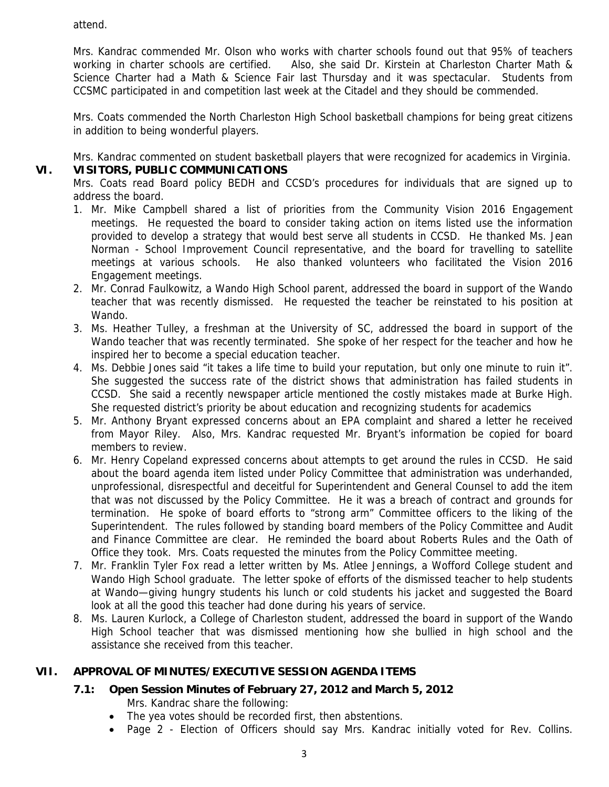attend.

Mrs. Kandrac commended Mr. Olson who works with charter schools found out that 95% of teachers working in charter schools are certified. Also, she said Dr. Kirstein at Charleston Charter Math & Science Charter had a Math & Science Fair last Thursday and it was spectacular. Students from CCSMC participated in and competition last week at the Citadel and they should be commended.

Mrs. Coats commended the North Charleston High School basketball champions for being great citizens in addition to being wonderful players.

Mrs. Kandrac commented on student basketball players that were recognized for academics in Virginia.

## **VI. VISITORS, PUBLIC COMMUNICATIONS**

Mrs. Coats read Board policy BEDH and CCSD's procedures for individuals that are signed up to address the board.

- 1. Mr. Mike Campbell shared a list of priorities from the Community Vision 2016 Engagement meetings. He requested the board to consider taking action on items listed use the information provided to develop a strategy that would best serve all students in CCSD. He thanked Ms. Jean Norman - School Improvement Council representative, and the board for travelling to satellite meetings at various schools. He also thanked volunteers who facilitated the Vision 2016 Engagement meetings.
- 2. Mr. Conrad Faulkowitz, a Wando High School parent, addressed the board in support of the Wando teacher that was recently dismissed. He requested the teacher be reinstated to his position at Wando.
- 3. Ms. Heather Tulley, a freshman at the University of SC, addressed the board in support of the Wando teacher that was recently terminated. She spoke of her respect for the teacher and how he inspired her to become a special education teacher.
- 4. Ms. Debbie Jones said "it takes a life time to build your reputation, but only one minute to ruin it". She suggested the success rate of the district shows that administration has failed students in CCSD. She said a recently newspaper article mentioned the costly mistakes made at Burke High. She requested district's priority be about education and recognizing students for academics
- 5. Mr. Anthony Bryant expressed concerns about an EPA complaint and shared a letter he received from Mayor Riley. Also, Mrs. Kandrac requested Mr. Bryant's information be copied for board members to review.
- 6. Mr. Henry Copeland expressed concerns about attempts to get around the rules in CCSD. He said about the board agenda item listed under Policy Committee that administration was underhanded, unprofessional, disrespectful and deceitful for Superintendent and General Counsel to add the item that was not discussed by the Policy Committee. He it was a breach of contract and grounds for termination. He spoke of board efforts to "strong arm" Committee officers to the liking of the Superintendent. The rules followed by standing board members of the Policy Committee and Audit and Finance Committee are clear. He reminded the board about Roberts Rules and the Oath of Office they took. Mrs. Coats requested the minutes from the Policy Committee meeting.
- 7. Mr. Franklin Tyler Fox read a letter written by Ms. Atlee Jennings, a Wofford College student and Wando High School graduate. The letter spoke of efforts of the dismissed teacher to help students at Wando—giving hungry students his lunch or cold students his jacket and suggested the Board look at all the good this teacher had done during his years of service.
- 8. Ms. Lauren Kurlock, a College of Charleston student, addressed the board in support of the Wando High School teacher that was dismissed mentioning how she bullied in high school and the assistance she received from this teacher.

## **VII. APPROVAL OF MINUTES/EXECUTIVE SESSION AGENDA ITEMS**

## **7.1: Open Session Minutes of February 27, 2012 and March 5, 2012**

Mrs. Kandrac share the following:

- The yea votes should be recorded first, then abstentions.
- Page 2 Election of Officers should say Mrs. Kandrac initially voted for Rev. Collins.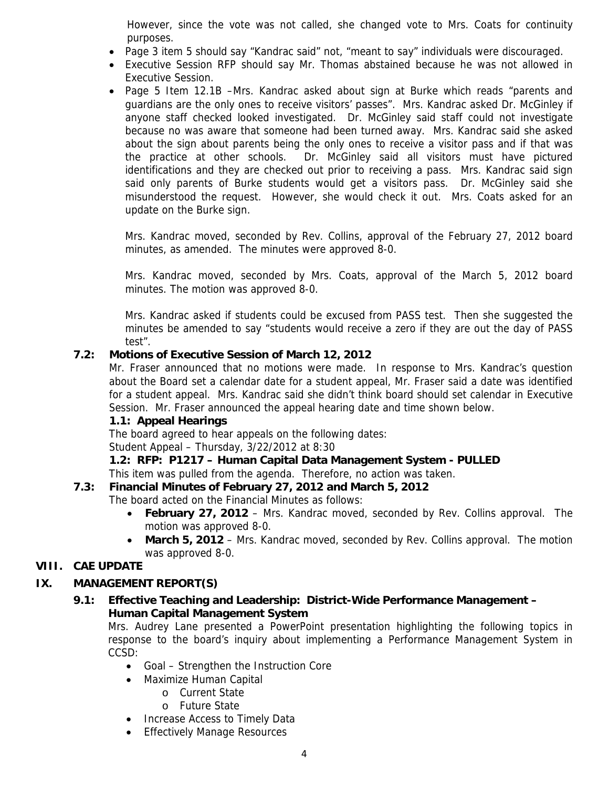However, since the vote was not called, she changed vote to Mrs. Coats for continuity purposes.

- Page 3 item 5 should say "Kandrac said" not, "meant to say" individuals were discouraged.
- Executive Session RFP should say Mr. Thomas abstained because he was not allowed in Executive Session.
- Page 5 Item 12.1B –Mrs. Kandrac asked about sign at Burke which reads "parents and guardians are the only ones to receive visitors' passes". Mrs. Kandrac asked Dr. McGinley if anyone staff checked looked investigated. Dr. McGinley said staff could not investigate because no was aware that someone had been turned away. Mrs. Kandrac said she asked about the sign about parents being the only ones to receive a visitor pass and if that was the practice at other schools. Dr. McGinley said all visitors must have pictured identifications and they are checked out prior to receiving a pass. Mrs. Kandrac said sign said only parents of Burke students would get a visitors pass. Dr. McGinley said she misunderstood the request. However, she would check it out. Mrs. Coats asked for an update on the Burke sign.

Mrs. Kandrac moved, seconded by Rev. Collins, approval of the February 27, 2012 board minutes, as amended. The minutes were approved 8-0.

Mrs. Kandrac moved, seconded by Mrs. Coats, approval of the March 5, 2012 board minutes. The motion was approved 8-0.

Mrs. Kandrac asked if students could be excused from PASS test. Then she suggested the minutes be amended to say "students would receive a zero if they are out the day of PASS test".

## **7.2: Motions of Executive Session of March 12, 2012**

Mr. Fraser announced that no motions were made. In response to Mrs. Kandrac's question about the Board set a calendar date for a student appeal, Mr. Fraser said a date was identified for a student appeal. Mrs. Kandrac said she didn't think board should set calendar in Executive Session. Mr. Fraser announced the appeal hearing date and time shown below.

## **1.1: Appeal Hearings**

The board agreed to hear appeals on the following dates:

Student Appeal – Thursday, 3/22/2012 at 8:30

## **1.2: RFP: P1217 – Human Capital Data Management System - PULLED**

# This item was pulled from the agenda. Therefore, no action was taken.

## **7.3: Financial Minutes of February 27, 2012 and March 5, 2012**

The board acted on the Financial Minutes as follows:

- **February 27, 2012**  Mrs. Kandrac moved, seconded by Rev. Collins approval. The motion was approved 8-0.
- **March 5, 2012** Mrs. Kandrac moved, seconded by Rev. Collins approval. The motion was approved 8-0.

## **VIII. CAE UPDATE**

# **IX. MANAGEMENT REPORT(S)**

# **9.1: Effective Teaching and Leadership: District-Wide Performance Management – Human Capital Management System**

Mrs. Audrey Lane presented a PowerPoint presentation highlighting the following topics in response to the board's inquiry about implementing a Performance Management System in CCSD:

- Goal Strengthen the Instruction Core
- Maximize Human Capital
	- o Current State
	- o Future State
- Increase Access to Timely Data
- **Effectively Manage Resources**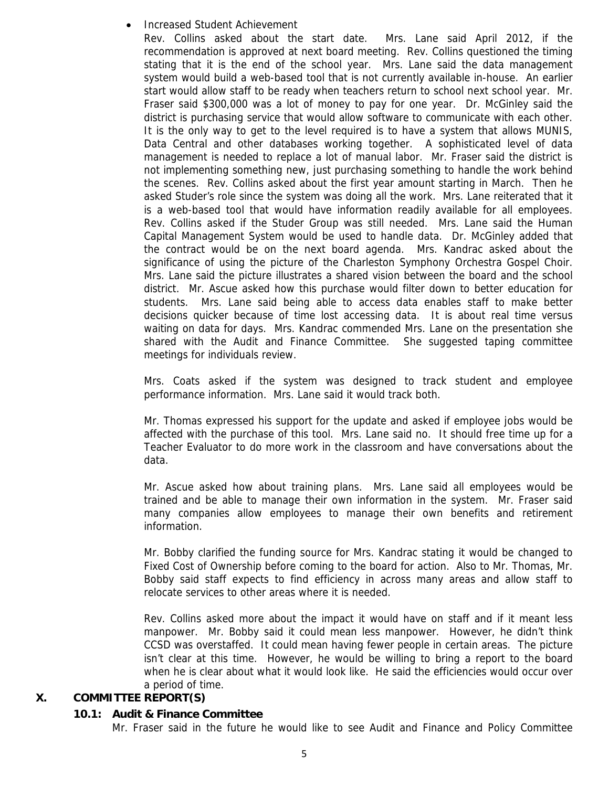#### • Increased Student Achievement

Rev. Collins asked about the start date. Mrs. Lane said April 2012, if the recommendation is approved at next board meeting. Rev. Collins questioned the timing stating that it is the end of the school year. Mrs. Lane said the data management system would build a web-based tool that is not currently available in-house. An earlier start would allow staff to be ready when teachers return to school next school year. Mr. Fraser said \$300,000 was a lot of money to pay for one year. Dr. McGinley said the district is purchasing service that would allow software to communicate with each other. It is the only way to get to the level required is to have a system that allows MUNIS, Data Central and other databases working together. A sophisticated level of data management is needed to replace a lot of manual labor. Mr. Fraser said the district is not implementing something new, just purchasing something to handle the work behind the scenes. Rev. Collins asked about the first year amount starting in March. Then he asked Studer's role since the system was doing all the work. Mrs. Lane reiterated that it is a web-based tool that would have information readily available for all employees. Rev. Collins asked if the Studer Group was still needed. Mrs. Lane said the Human Capital Management System would be used to handle data. Dr. McGinley added that the contract would be on the next board agenda. Mrs. Kandrac asked about the significance of using the picture of the Charleston Symphony Orchestra Gospel Choir. Mrs. Lane said the picture illustrates a shared vision between the board and the school district. Mr. Ascue asked how this purchase would filter down to better education for students. Mrs. Lane said being able to access data enables staff to make better decisions quicker because of time lost accessing data. It is about real time versus waiting on data for days. Mrs. Kandrac commended Mrs. Lane on the presentation she shared with the Audit and Finance Committee. She suggested taping committee meetings for individuals review.

Mrs. Coats asked if the system was designed to track student and employee performance information. Mrs. Lane said it would track both.

Mr. Thomas expressed his support for the update and asked if employee jobs would be affected with the purchase of this tool. Mrs. Lane said no. It should free time up for a Teacher Evaluator to do more work in the classroom and have conversations about the data.

Mr. Ascue asked how about training plans. Mrs. Lane said all employees would be trained and be able to manage their own information in the system. Mr. Fraser said many companies allow employees to manage their own benefits and retirement information.

Mr. Bobby clarified the funding source for Mrs. Kandrac stating it would be changed to Fixed Cost of Ownership before coming to the board for action. Also to Mr. Thomas, Mr. Bobby said staff expects to find efficiency in across many areas and allow staff to relocate services to other areas where it is needed.

Rev. Collins asked more about the impact it would have on staff and if it meant less manpower. Mr. Bobby said it could mean less manpower. However, he didn't think CCSD was overstaffed. It could mean having fewer people in certain areas. The picture isn't clear at this time. However, he would be willing to bring a report to the board when he is clear about what it would look like. He said the efficiencies would occur over a period of time.

#### **X. COMMITTEE REPORT(S)**

#### **10.1: Audit & Finance Committee**

Mr. Fraser said in the future he would like to see Audit and Finance and Policy Committee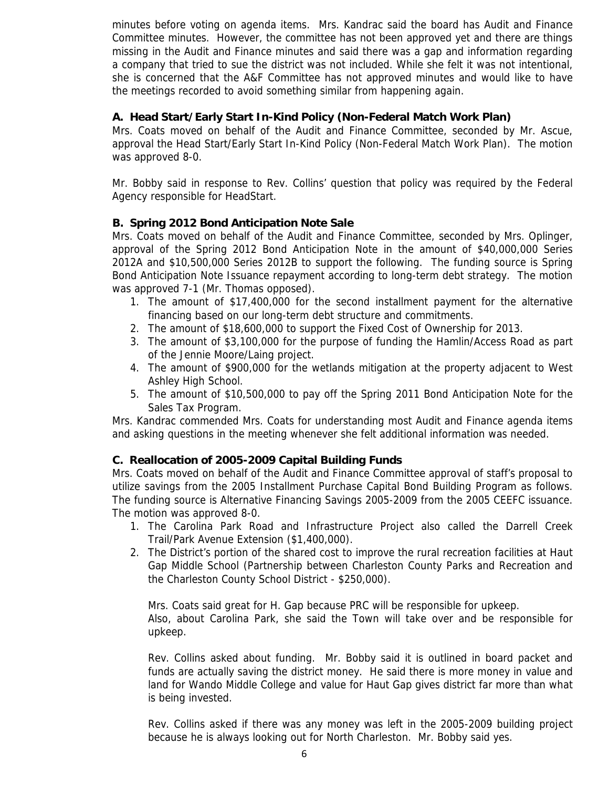minutes before voting on agenda items. Mrs. Kandrac said the board has Audit and Finance Committee minutes. However, the committee has not been approved yet and there are things missing in the Audit and Finance minutes and said there was a gap and information regarding a company that tried to sue the district was not included. While she felt it was not intentional, she is concerned that the A&F Committee has not approved minutes and would like to have the meetings recorded to avoid something similar from happening again.

## **A. Head Start/Early Start In-Kind Policy (Non-Federal Match Work Plan)**

Mrs. Coats moved on behalf of the Audit and Finance Committee, seconded by Mr. Ascue, approval the Head Start/Early Start In-Kind Policy (Non-Federal Match Work Plan). The motion was approved 8-0.

Mr. Bobby said in response to Rev. Collins' question that policy was required by the Federal Agency responsible for HeadStart.

## **B. Spring 2012 Bond Anticipation Note Sale**

Mrs. Coats moved on behalf of the Audit and Finance Committee, seconded by Mrs. Oplinger, approval of the Spring 2012 Bond Anticipation Note in the amount of \$40,000,000 Series 2012A and \$10,500,000 Series 2012B to support the following. The funding source is Spring Bond Anticipation Note Issuance repayment according to long-term debt strategy. The motion was approved 7-1 (Mr. Thomas opposed).

- 1. The amount of \$17,400,000 for the second installment payment for the alternative financing based on our long-term debt structure and commitments.
- 2. The amount of \$18,600,000 to support the Fixed Cost of Ownership for 2013.
- 3. The amount of \$3,100,000 for the purpose of funding the Hamlin/Access Road as part of the Jennie Moore/Laing project.
- 4. The amount of \$900,000 for the wetlands mitigation at the property adjacent to West Ashley High School.
- 5. The amount of \$10,500,000 to pay off the Spring 2011 Bond Anticipation Note for the Sales Tax Program.

Mrs. Kandrac commended Mrs. Coats for understanding most Audit and Finance agenda items and asking questions in the meeting whenever she felt additional information was needed.

#### **C. Reallocation of 2005-2009 Capital Building Funds**

Mrs. Coats moved on behalf of the Audit and Finance Committee approval of staff's proposal to utilize savings from the 2005 Installment Purchase Capital Bond Building Program as follows. The funding source is Alternative Financing Savings 2005-2009 from the 2005 CEEFC issuance. The motion was approved 8-0.

- 1. The Carolina Park Road and Infrastructure Project also called the Darrell Creek Trail/Park Avenue Extension (\$1,400,000).
- 2. The District's portion of the shared cost to improve the rural recreation facilities at Haut Gap Middle School (Partnership between Charleston County Parks and Recreation and the Charleston County School District - \$250,000).

Mrs. Coats said great for H. Gap because PRC will be responsible for upkeep. Also, about Carolina Park, she said the Town will take over and be responsible for upkeep.

Rev. Collins asked about funding. Mr. Bobby said it is outlined in board packet and funds are actually saving the district money. He said there is more money in value and land for Wando Middle College and value for Haut Gap gives district far more than what is being invested.

Rev. Collins asked if there was any money was left in the 2005-2009 building project because he is always looking out for North Charleston. Mr. Bobby said yes.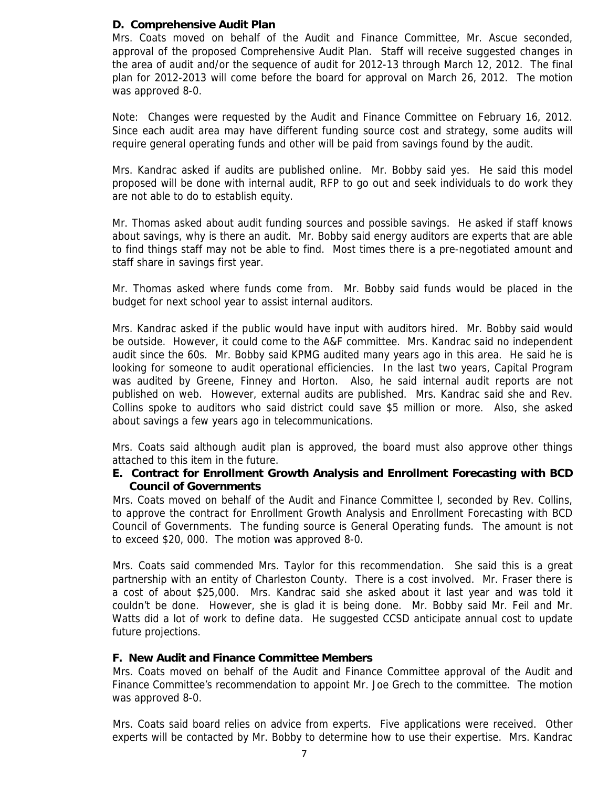#### **D. Comprehensive Audit Plan**

Mrs. Coats moved on behalf of the Audit and Finance Committee, Mr. Ascue seconded, approval of the proposed Comprehensive Audit Plan. Staff will receive suggested changes in the area of audit and/or the sequence of audit for 2012-13 through March 12, 2012. The final plan for 2012-2013 will come before the board for approval on March 26, 2012. The motion was approved 8-0.

Note: Changes were requested by the Audit and Finance Committee on February 16, 2012. Since each audit area may have different funding source cost and strategy, some audits will require general operating funds and other will be paid from savings found by the audit.

Mrs. Kandrac asked if audits are published online. Mr. Bobby said yes. He said this model proposed will be done with internal audit, RFP to go out and seek individuals to do work they are not able to do to establish equity.

Mr. Thomas asked about audit funding sources and possible savings. He asked if staff knows about savings, why is there an audit. Mr. Bobby said energy auditors are experts that are able to find things staff may not be able to find. Most times there is a pre-negotiated amount and staff share in savings first year.

Mr. Thomas asked where funds come from. Mr. Bobby said funds would be placed in the budget for next school year to assist internal auditors.

Mrs. Kandrac asked if the public would have input with auditors hired. Mr. Bobby said would be outside. However, it could come to the A&F committee. Mrs. Kandrac said no independent audit since the 60s. Mr. Bobby said KPMG audited many years ago in this area. He said he is looking for someone to audit operational efficiencies. In the last two years, Capital Program was audited by Greene, Finney and Horton. Also, he said internal audit reports are not published on web. However, external audits are published. Mrs. Kandrac said she and Rev. Collins spoke to auditors who said district could save \$5 million or more. Also, she asked about savings a few years ago in telecommunications.

Mrs. Coats said although audit plan is approved, the board must also approve other things attached to this item in the future.

#### **E. Contract for Enrollment Growth Analysis and Enrollment Forecasting with BCD Council of Governments**

Mrs. Coats moved on behalf of the Audit and Finance Committee l, seconded by Rev. Collins, to approve the contract for Enrollment Growth Analysis and Enrollment Forecasting with BCD Council of Governments. The funding source is General Operating funds. The amount is not to exceed \$20, 000. The motion was approved 8-0.

Mrs. Coats said commended Mrs. Taylor for this recommendation. She said this is a great partnership with an entity of Charleston County. There is a cost involved. Mr. Fraser there is a cost of about \$25,000. Mrs. Kandrac said she asked about it last year and was told it couldn't be done. However, she is glad it is being done. Mr. Bobby said Mr. Feil and Mr. Watts did a lot of work to define data. He suggested CCSD anticipate annual cost to update future projections.

#### **F. New Audit and Finance Committee Members**

Mrs. Coats moved on behalf of the Audit and Finance Committee approval of the Audit and Finance Committee's recommendation to appoint Mr. Joe Grech to the committee. The motion was approved 8-0.

Mrs. Coats said board relies on advice from experts. Five applications were received. Other experts will be contacted by Mr. Bobby to determine how to use their expertise. Mrs. Kandrac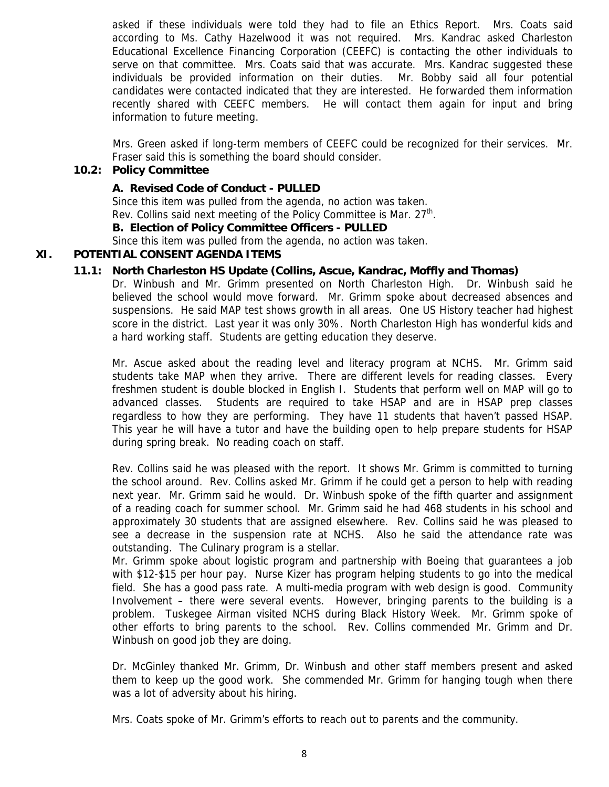asked if these individuals were told they had to file an Ethics Report. Mrs. Coats said according to Ms. Cathy Hazelwood it was not required. Mrs. Kandrac asked Charleston Educational Excellence Financing Corporation (CEEFC) is contacting the other individuals to serve on that committee. Mrs. Coats said that was accurate. Mrs. Kandrac suggested these individuals be provided information on their duties. Mr. Bobby said all four potential candidates were contacted indicated that they are interested. He forwarded them information recently shared with CEEFC members. He will contact them again for input and bring information to future meeting.

Mrs. Green asked if long-term members of CEEFC could be recognized for their services. Mr. Fraser said this is something the board should consider.

#### **10.2: Policy Committee**

#### **A. Revised Code of Conduct - PULLED**

Since this item was pulled from the agenda, no action was taken. Rev. Collins said next meeting of the Policy Committee is Mar. 27<sup>th</sup>.

#### **B. Election of Policy Committee Officers - PULLED**

Since this item was pulled from the agenda, no action was taken.

#### **XI. POTENTIAL CONSENT AGENDA ITEMS**

#### **11.1: North Charleston HS Update (Collins, Ascue, Kandrac, Moffly and Thomas)**

Dr. Winbush and Mr. Grimm presented on North Charleston High. Dr. Winbush said he believed the school would move forward. Mr. Grimm spoke about decreased absences and suspensions. He said MAP test shows growth in all areas. One US History teacher had highest score in the district. Last year it was only 30%. North Charleston High has wonderful kids and a hard working staff. Students are getting education they deserve.

Mr. Ascue asked about the reading level and literacy program at NCHS. Mr. Grimm said students take MAP when they arrive. There are different levels for reading classes. Every freshmen student is double blocked in English I. Students that perform well on MAP will go to advanced classes. Students are required to take HSAP and are in HSAP prep classes regardless to how they are performing. They have 11 students that haven't passed HSAP. This year he will have a tutor and have the building open to help prepare students for HSAP during spring break. No reading coach on staff.

Rev. Collins said he was pleased with the report. It shows Mr. Grimm is committed to turning the school around. Rev. Collins asked Mr. Grimm if he could get a person to help with reading next year. Mr. Grimm said he would. Dr. Winbush spoke of the fifth quarter and assignment of a reading coach for summer school. Mr. Grimm said he had 468 students in his school and approximately 30 students that are assigned elsewhere. Rev. Collins said he was pleased to see a decrease in the suspension rate at NCHS. Also he said the attendance rate was outstanding. The Culinary program is a stellar.

Mr. Grimm spoke about logistic program and partnership with Boeing that guarantees a job with \$12-\$15 per hour pay. Nurse Kizer has program helping students to go into the medical field. She has a good pass rate. A multi-media program with web design is good. Community Involvement – there were several events. However, bringing parents to the building is a problem. Tuskegee Airman visited NCHS during Black History Week. Mr. Grimm spoke of other efforts to bring parents to the school. Rev. Collins commended Mr. Grimm and Dr. Winbush on good job they are doing.

Dr. McGinley thanked Mr. Grimm, Dr. Winbush and other staff members present and asked them to keep up the good work. She commended Mr. Grimm for hanging tough when there was a lot of adversity about his hiring.

Mrs. Coats spoke of Mr. Grimm's efforts to reach out to parents and the community.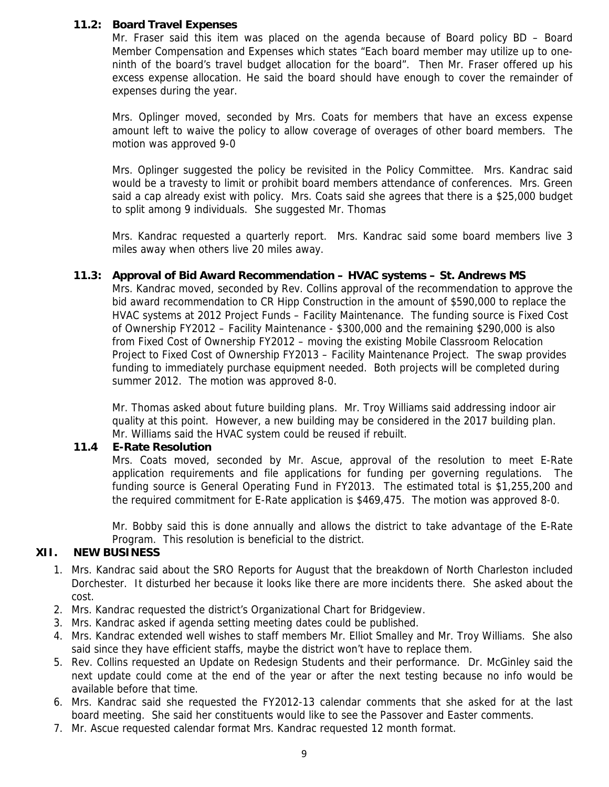#### **11.2: Board Travel Expenses**

Mr. Fraser said this item was placed on the agenda because of Board policy BD – Board Member Compensation and Expenses which states "Each board member may utilize up to oneninth of the board's travel budget allocation for the board". Then Mr. Fraser offered up his excess expense allocation. He said the board should have enough to cover the remainder of expenses during the year.

Mrs. Oplinger moved, seconded by Mrs. Coats for members that have an excess expense amount left to waive the policy to allow coverage of overages of other board members. The motion was approved 9-0

Mrs. Oplinger suggested the policy be revisited in the Policy Committee. Mrs. Kandrac said would be a travesty to limit or prohibit board members attendance of conferences. Mrs. Green said a cap already exist with policy. Mrs. Coats said she agrees that there is a \$25,000 budget to split among 9 individuals. She suggested Mr. Thomas

Mrs. Kandrac requested a quarterly report. Mrs. Kandrac said some board members live 3 miles away when others live 20 miles away.

#### **11.3: Approval of Bid Award Recommendation – HVAC systems – St. Andrews MS**

Mrs. Kandrac moved, seconded by Rev. Collins approval of the recommendation to approve the bid award recommendation to CR Hipp Construction in the amount of \$590,000 to replace the HVAC systems at 2012 Project Funds – Facility Maintenance. The funding source is Fixed Cost of Ownership FY2012 – Facility Maintenance - \$300,000 and the remaining \$290,000 is also from Fixed Cost of Ownership FY2012 – moving the existing Mobile Classroom Relocation Project to Fixed Cost of Ownership FY2013 – Facility Maintenance Project. The swap provides funding to immediately purchase equipment needed. Both projects will be completed during summer 2012. The motion was approved 8-0.

Mr. Thomas asked about future building plans. Mr. Troy Williams said addressing indoor air quality at this point. However, a new building may be considered in the 2017 building plan. Mr. Williams said the HVAC system could be reused if rebuilt.

#### **11.4 E-Rate Resolution**

Mrs. Coats moved, seconded by Mr. Ascue, approval of the resolution to meet E-Rate application requirements and file applications for funding per governing regulations. The funding source is General Operating Fund in FY2013. The estimated total is \$1,255,200 and the required commitment for E-Rate application is \$469,475. The motion was approved 8-0.

Mr. Bobby said this is done annually and allows the district to take advantage of the E-Rate Program. This resolution is beneficial to the district.

#### **XII. NEW BUSINESS**

- 1. Mrs. Kandrac said about the SRO Reports for August that the breakdown of North Charleston included Dorchester. It disturbed her because it looks like there are more incidents there. She asked about the cost.
- 2. Mrs. Kandrac requested the district's Organizational Chart for Bridgeview.
- 3. Mrs. Kandrac asked if agenda setting meeting dates could be published.
- 4. Mrs. Kandrac extended well wishes to staff members Mr. Elliot Smalley and Mr. Troy Williams. She also said since they have efficient staffs, maybe the district won't have to replace them.
- 5. Rev. Collins requested an Update on Redesign Students and their performance. Dr. McGinley said the next update could come at the end of the year or after the next testing because no info would be available before that time.
- 6. Mrs. Kandrac said she requested the FY2012-13 calendar comments that she asked for at the last board meeting. She said her constituents would like to see the Passover and Easter comments.
- 7. Mr. Ascue requested calendar format Mrs. Kandrac requested 12 month format.